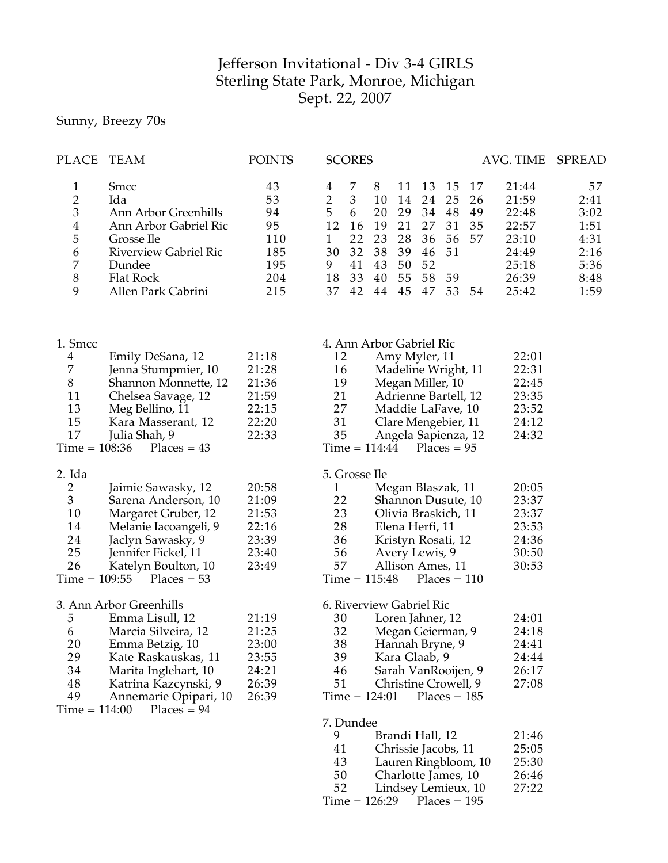## Jefferson Invitational - Div 3-4 GIRLS Sterling State Park, Monroe, Michigan Sept. 22, 2007

## Sunny, Breezy 70s

| <b>PLACE</b>                                                                                                                                                                                                                                    | <b>TEAM</b>                                                                                                                                                                   | <b>POINTS</b>                                               | <b>SCORES</b><br>AVG. TIME                                                                                                                                                                                                                                                                                                                                                                                                                                  | SPREAD                                                             |
|-------------------------------------------------------------------------------------------------------------------------------------------------------------------------------------------------------------------------------------------------|-------------------------------------------------------------------------------------------------------------------------------------------------------------------------------|-------------------------------------------------------------|-------------------------------------------------------------------------------------------------------------------------------------------------------------------------------------------------------------------------------------------------------------------------------------------------------------------------------------------------------------------------------------------------------------------------------------------------------------|--------------------------------------------------------------------|
| 1<br>$\overline{\mathbf{c}}$<br>3<br>$\overline{\mathbf{4}}$<br>5<br>$\boldsymbol{6}$<br>$\boldsymbol{7}$<br>$\,8\,$<br>9                                                                                                                       | Smcc<br>Ida<br>Ann Arbor Greenhills<br>Ann Arbor Gabriel Ric<br>Grosse Ile<br><b>Riverview Gabriel Ric</b><br>Dundee<br>Flat Rock<br>Allen Park Cabrini                       | 43<br>53<br>94<br>95<br>110<br>185<br>195<br>204<br>215     | 8<br>7<br>11<br>13<br>15<br>17<br>21:44<br>4<br>$\overline{2}$<br>3<br>10<br>14<br>24<br>25<br>21:59<br>26<br>5<br>20<br>6<br>29<br>34<br>48<br>49<br>22:48<br>12<br>16<br>19<br>21<br>27<br>35<br>31<br>22:57<br>22<br>23<br>28<br>36<br>56<br>57<br>23:10<br>$\mathbf{1}$<br>38<br>30<br>32<br>39<br>51<br>46<br>24:49<br>50<br>9<br>41<br>43<br>52<br>25:18<br>33<br>55<br>18<br>40<br>58<br>26:39<br>59<br>37<br>42<br>44<br>45<br>47<br>53 54<br>25:42 | 57<br>2:41<br>3:02<br>1:51<br>4:31<br>2:16<br>5:36<br>8:48<br>1:59 |
| 1. Smcc<br>4<br>7<br>$8\,$<br>11<br>13<br>15<br>17<br>$Time = 108:36$                                                                                                                                                                           | Emily DeSana, 12<br>Jenna Stumpmier, 10<br>Shannon Monnette, 12<br>Chelsea Savage, 12<br>Meg Bellino, 11<br>Kara Masserant, 12<br>Julia Shah, 9<br>$Places = 43$              | 21:18<br>21:28<br>21:36<br>21:59<br>22:15<br>22:20<br>22:33 | 4. Ann Arbor Gabriel Ric<br>22:01<br>12<br>Amy Myler, 11<br>22:31<br>Madeline Wright, 11<br>16<br>19<br>Megan Miller, 10<br>22:45<br>21<br>23:35<br>Adrienne Bartell, 12<br>27<br>Maddie LaFave, 10<br>23:52<br>31<br>24:12<br>Clare Mengebier, 11<br>24:32<br>35<br>Angela Sapienza, 12<br>$Time = 114:44$<br>$Places = 95$                                                                                                                                |                                                                    |
| 2. Ida<br>$\overline{2}$<br>3<br>10<br>14<br>24<br>25<br>26<br>$Time = 109:55$                                                                                                                                                                  | Jaimie Sawasky, 12<br>Sarena Anderson, 10<br>Margaret Gruber, 12<br>Melanie Iacoangeli, 9<br>Jaclyn Sawasky, 9<br>Jennifer Fickel, 11<br>Katelyn Boulton, 10<br>$Places = 53$ | 20:58<br>21:09<br>21:53<br>22:16<br>23:39<br>23:40<br>23:49 | 5. Grosse Ile<br>Megan Blaszak, 11<br>20:05<br>1<br>22<br>23:37<br>Shannon Dusute, 10<br>23<br>23:37<br>Olivia Braskich, 11<br>28<br>23:53<br>Elena Herfi, 11<br>36<br>24:36<br>Kristyn Rosati, 12<br>56<br>Avery Lewis, 9<br>30:50<br>57<br>30:53<br>Allison Ames, 11<br>$Time = 115:48$<br>$Places = 110$                                                                                                                                                 |                                                                    |
| 3. Ann Arbor Greenhills<br>5<br>Emma Lisull, 12<br>6<br>Marcia Silveira, 12<br>20<br>Emma Betzig, 10<br>29<br>Kate Raskauskas, 11<br>34<br>Marita Inglehart, 10<br>48<br>Katrina Kazcynski, 9<br>49<br>Annemarie Opipari, 10<br>$Time = 114:00$ |                                                                                                                                                                               | 21:19<br>21:25<br>23:00<br>23:55<br>24:21<br>26:39<br>26:39 | 6. Riverview Gabriel Ric<br>24:01<br>30<br>Loren Jahner, 12<br>32<br>Megan Geierman, 9<br>24:18<br>38<br>Hannah Bryne, 9<br>24:41<br>39<br>Kara Glaab, 9<br>24:44<br>Sarah VanRooijen, 9<br>26:17<br>46<br>51<br>Christine Crowell, 9<br>27:08<br>$Time = 124:01$<br>$Places = 185$                                                                                                                                                                         |                                                                    |
|                                                                                                                                                                                                                                                 | $Places = 94$                                                                                                                                                                 |                                                             | 7. Dundee<br>9<br>Brandi Hall, 12<br>21:46<br>41<br>25:05<br>Chrissie Jacobs, 11<br>43<br>25:30<br>Lauren Ringbloom, 10<br>50<br>26:46<br>Charlotte James, 10<br>52<br>27:22<br>Lindsey Lemieux, 10<br>$Time = 126:29$ Places = 195                                                                                                                                                                                                                         |                                                                    |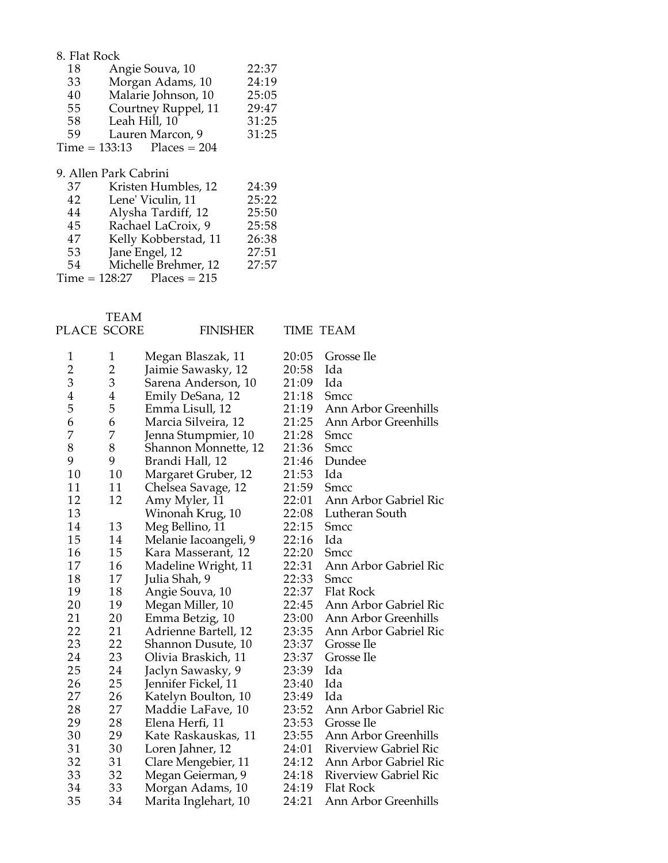| 8. Flat Rock                 |                       |       |  |  |
|------------------------------|-----------------------|-------|--|--|
| 18                           | Angie Souva, 10       | 22:37 |  |  |
| 33                           | Morgan Adams, 10      | 24:19 |  |  |
| 40                           | Malarie Johnson, 10   | 25:05 |  |  |
| 55                           | Courtney Ruppel, 11   | 29:47 |  |  |
| 58                           | Leah Hill, 10         | 31:25 |  |  |
| 59                           | Lauren Marcon, 9      | 31:25 |  |  |
| $Time = 133:13$ Places = 204 |                       |       |  |  |
|                              |                       |       |  |  |
|                              | 9. Allen Park Cabrini |       |  |  |
| 37                           | Kristen Humbles, 12   | 24:39 |  |  |
| 42                           | Lene' Viculin, 11     | 25:22 |  |  |
| 44                           | Alysha Tardiff, 12    | 25:50 |  |  |
| 45                           | Rachael LaCroix, 9    | 25:58 |  |  |
| 47                           | Kelly Kobberstad, 11  | 26:38 |  |  |
| 53                           | Jane Engel, 12        | 27:51 |  |  |

Michelle Brehmer, 12 27:57

PLACE SCORE TEAM

 $Time = 128:27$  Places = 215

FINISHER TIME TEAM

| 1<br>2 | $\mathbf{1}$<br>$\overline{2}$ | Megan Blaszak, 11     | 20:05 | Grosse Ile                   |
|--------|--------------------------------|-----------------------|-------|------------------------------|
| 3      | 3                              | Jaimie Sawasky, 12    | 20:58 | Ida<br>Ida                   |
|        |                                | Sarena Anderson, 10   | 21:09 |                              |
| 4      | 4                              | Emily DeSana, 12      | 21:18 | Smcc                         |
| 5      | 5                              | Emma Lisull, 12       | 21:19 | Ann Arbor Greenhills         |
| 6      | 6                              | Marcia Silveira, 12   | 21:25 | Ann Arbor Greenhills         |
| 7      | 7                              | Jenna Stumpmier, 10   | 21:28 | Smcc                         |
| 8      | 8                              | Shannon Monnette, 12  | 21:36 | Smcc                         |
| 9      | 9                              | Brandi Hall, 12       | 21:46 | Dundee                       |
| 10     | 10                             | Margaret Gruber, 12   | 21:53 | Ida                          |
| 11     | 11                             | Chelsea Savage, 12    | 21:59 | Smcc                         |
| 12     | 12                             | Amy Myler, 11         | 22:01 | Ann Arbor Gabriel Ric        |
| 13     |                                | Winonah Krug, 10      | 22:08 | Lutheran South               |
| 14     | 13                             | Meg Bellino, 11       | 22:15 | Smcc                         |
| 15     | 14                             | Melanie Iacoangeli, 9 | 22:16 | Ida                          |
| 16     | 15                             | Kara Masserant, 12    | 22:20 | Smcc                         |
| 17     | 16                             | Madeline Wright, 11   | 22:31 | Ann Arbor Gabriel Ric        |
| 18     | 17                             | Julia Shah, 9         | 22:33 | <b>Smcc</b>                  |
| 19     | 18                             | Angie Souva, 10       | 22:37 | <b>Flat Rock</b>             |
| 20     | 19                             | Megan Miller, 10      | 22:45 | Ann Arbor Gabriel Ric        |
| 21     | 20                             | Emma Betzig, 10       | 23:00 | Ann Arbor Greenhills         |
| 22     | 21                             | Adrienne Bartell, 12  | 23:35 | Ann Arbor Gabriel Ric        |
| 23     | 22                             | Shannon Dusute, 10    | 23:37 | Grosse Ile                   |
| 24     | 23                             | Olivia Braskich, 11   | 23:37 | Grosse Ile                   |
| 25     | 24                             | Jaclyn Sawasky, 9     | 23:39 | Ida                          |
| 26     | 25                             | Jennifer Fickel, 11   | 23:40 | Ida                          |
| 27     | 26                             | Katelyn Boulton, 10   | 23:49 | Ida                          |
| 28     | 27                             | Maddie LaFave, 10     | 23:52 | Ann Arbor Gabriel Ric        |
| 29     | 28                             | Elena Herfi, 11       | 23:53 | Grosse Ile                   |
| 30     | 29                             | Kate Raskauskas, 11   | 23:55 | Ann Arbor Greenhills         |
| 31     | 30                             | Loren Jahner, 12      | 24:01 | <b>Riverview Gabriel Ric</b> |
| 32     | 31                             | Clare Mengebier, 11   | 24:12 | Ann Arbor Gabriel Ric        |
| 33     | 32                             | Megan Geierman, 9     | 24:18 | <b>Riverview Gabriel Ric</b> |
| 34     | 33                             | Morgan Adams, 10      | 24:19 | Flat Rock                    |
| 35     | 34                             | Marita Inglehart, 10  | 24:21 | Ann Arbor Greenhills         |